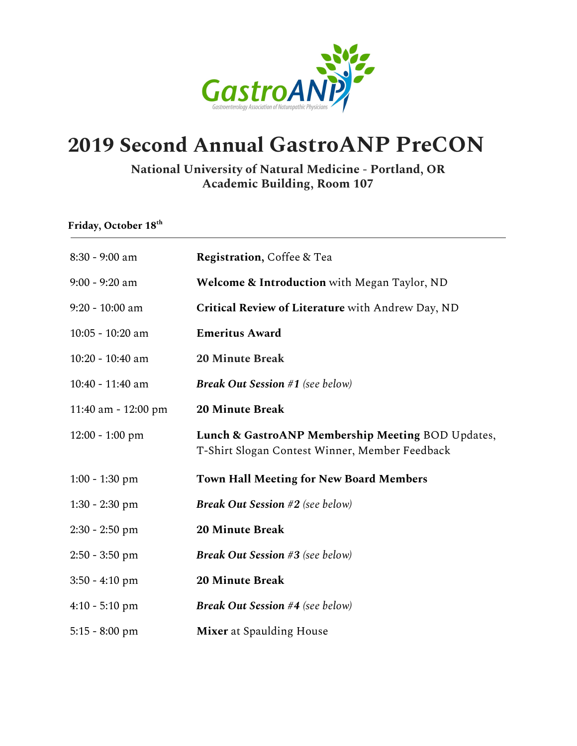

## **2019 Second Annual GastroANP PreCON**

## **National University of Natural Medicine - Portland, OR Academic Building, Room 107**

| Friday, October 18th |                                                                                                     |
|----------------------|-----------------------------------------------------------------------------------------------------|
| 8:30 - 9:00 am       | <b>Registration, Coffee &amp; Tea</b>                                                               |
| $9:00 - 9:20$ am     | <b>Welcome &amp; Introduction</b> with Megan Taylor, ND                                             |
| 9:20 - 10:00 am      | Critical Review of Literature with Andrew Day, ND                                                   |
| 10:05 - 10:20 am     | <b>Emeritus Award</b>                                                                               |
| 10:20 - 10:40 am     | <b>20 Minute Break</b>                                                                              |
| 10:40 - 11:40 am     | <b>Break Out Session #1</b> (see below)                                                             |
| 11:40 am - 12:00 pm  | <b>20 Minute Break</b>                                                                              |
| $12:00 - 1:00$ pm    | Lunch & GastroANP Membership Meeting BOD Updates,<br>T-Shirt Slogan Contest Winner, Member Feedback |
| $1:00 - 1:30$ pm     | <b>Town Hall Meeting for New Board Members</b>                                                      |
| $1:30 - 2:30$ pm     | <b>Break Out Session #2</b> (see below)                                                             |
| $2:30 - 2:50$ pm     | <b>20 Minute Break</b>                                                                              |
| $2:50 - 3:50$ pm     | <b>Break Out Session #3</b> (see below)                                                             |
| $3:50 - 4:10$ pm     | <b>20 Minute Break</b>                                                                              |
| $4:10 - 5:10$ pm     | <b>Break Out Session #4 (see below)</b>                                                             |
| $5:15 - 8:00$ pm     | <b>Mixer</b> at Spaulding House                                                                     |